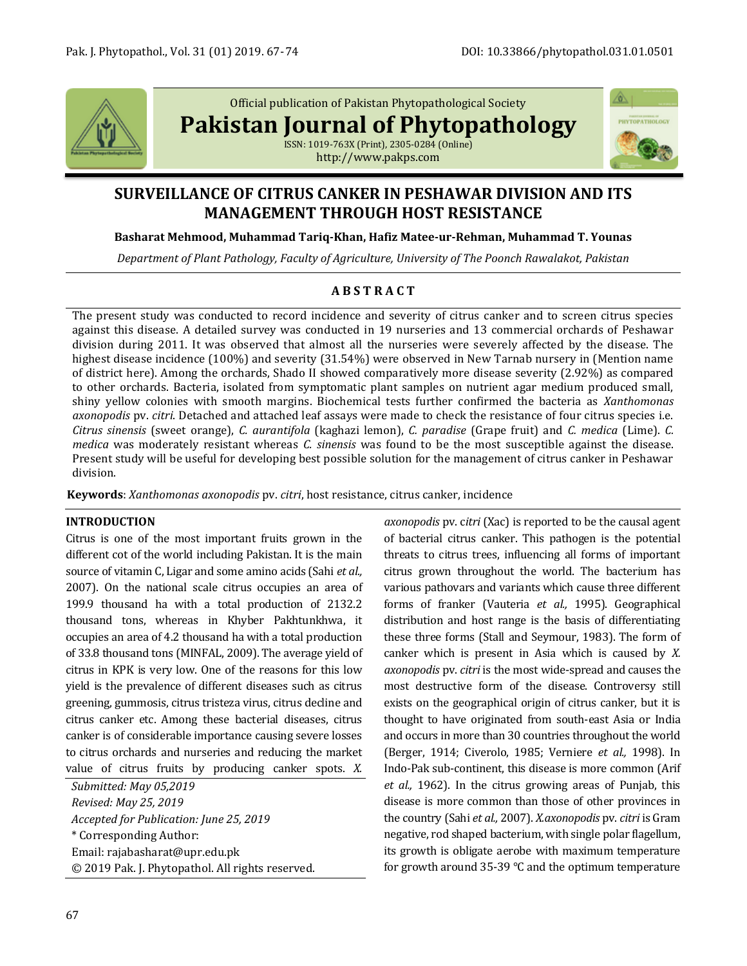

Official publication of Pakistan Phytopathological Society

**Pakistan Journal of Phytopathology**

ISSN: 1019-763X (Print), 2305-0284 (Online) http://www.pakps.com



# **SURVEILLANCE OF CITRUS CANKER IN PESHAWAR DIVISION AND ITS MANAGEMENT THROUGH HOST RESISTANCE**

## **Basharat Mehmood, Muhammad Tariq-Khan, Hafiz Matee-ur-Rehman, Muhammad T. Younas**

*Department of Plant Pathology, Faculty of Agriculture, University of The Poonch Rawalakot, Pakistan*

## **A B S T R A C T**

The present study was conducted to record incidence and severity of citrus canker and to screen citrus species against this disease. A detailed survey was conducted in 19 nurseries and 13 commercial orchards of Peshawar division during 2011. It was observed that almost all the nurseries were severely affected by the disease. The highest disease incidence (100%) and severity (31.54%) were observed in New Tarnab nursery in (Mention name of district here). Among the orchards, Shado II showed comparatively more disease severity (2.92%) as compared to other orchards. Bacteria, isolated from symptomatic plant samples on nutrient agar medium produced small, shiny yellow colonies with smooth margins. Biochemical tests further confirmed the bacteria as *Xanthomonas axonopodis* pv. *citri*. Detached and attached leaf assays were made to check the resistance of four citrus species i.e. *Citrus sinensis* (sweet orange), *C. aurantifola* (kaghazi lemon), *C. paradise* (Grape fruit) and *C. medica* (Lime). *C. medica* was moderately resistant whereas *C. sinensis* was found to be the most susceptible against the disease. Present study will be useful for developing best possible solution for the management of citrus canker in Peshawar division.

**Keywords**: *Xanthomonas axonopodis* pv. *citri*, host resistance, citrus canker, incidence

### **INTRODUCTION**

Citrus is one of the most important fruits grown in the different cot of the world including Pakistan. It is the main source of vitamin C, Ligar and some amino acids (Sahi *et al.,* 2007). On the national scale citrus occupies an area of 199.9 thousand ha with a total production of 2132.2 thousand tons, whereas in Khyber Pakhtunkhwa, it occupies an area of 4.2 thousand ha with a total production of 33.8 thousand tons (MINFAL, 2009). The average yield of citrus in KPK is very low. One of the reasons for this low yield is the prevalence of different diseases such as citrus greening, gummosis, citrus tristeza virus, citrus decline and citrus canker etc. Among these bacterial diseases, citrus canker is of considerable importance causing severe losses to citrus orchards and nurseries and reducing the market value of citrus fruits by producing canker spots. *X.* 

*Submitted: May 05,2019 Revised: May 25, 2019 Accepted for Publication: June 25, 2019* \* Corresponding Author: Email: rajabasharat@upr.edu.pk © 2019 Pak. J. Phytopathol. All rights reserved. *axonopodis* pv. c*itri* (Xac) is reported to be the causal agent of bacterial citrus canker. This pathogen is the potential threats to citrus trees, influencing all forms of important citrus grown throughout the world. The bacterium has various pathovars and variants which cause three different forms of franker (Vauteria *et al.,* 1995). Geographical distribution and host range is the basis of differentiating these three forms (Stall and Seymour, 1983). The form of canker which is present in Asia which is caused by *X. axonopodis* pv. *citri* is the most wide-spread and causes the most destructive form of the disease. Controversy still exists on the geographical origin of citrus canker, but it is thought to have originated from south-east Asia or India and occurs in more than 30 countries throughout the world (Berger, 1914; Civerolo, 1985; Verniere *et al.,* 1998). In Indo-Pak sub-continent, this disease is more common (Arif *et al.,* 1962). In the citrus growing areas of Punjab, this disease is more common than those of other provinces in the country (Sahi *et al.,* 2007). *X.axonopodis* pv. *citri* is Gram negative, rod shaped bacterium, with single polar flagellum, its growth is obligate aerobe with maximum temperature for growth around 35-39 °C and the optimum temperature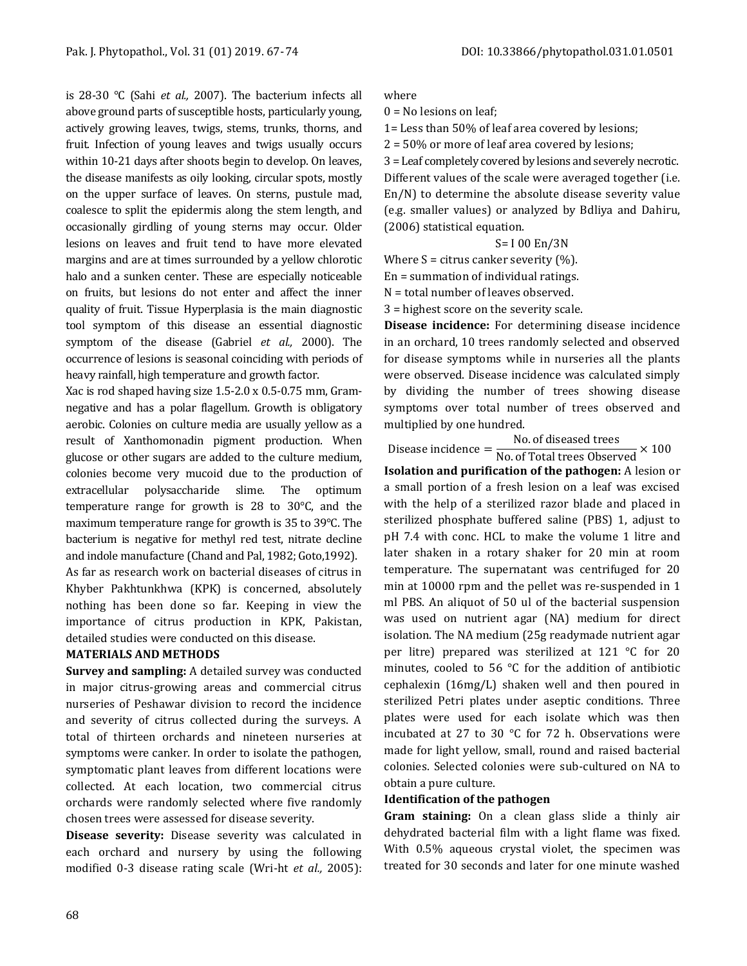is 28-30 °C (Sahi *et al.,* 2007). The bacterium infects all above ground parts of susceptible hosts, particularly young, actively growing leaves, twigs, stems, trunks, thorns, and fruit. Infection of young leaves and twigs usually occurs within 10-21 days after shoots begin to develop. On leaves, the disease manifests as oily looking, circular spots, mostly on the upper surface of leaves. On sterns, pustule mad, coalesce to split the epidermis along the stem length, and occasionally girdling of young sterns may occur. Older lesions on leaves and fruit tend to have more elevated margins and are at times surrounded by a yellow chlorotic halo and a sunken center. These are especially noticeable on fruits, but lesions do not enter and affect the inner quality of fruit. Tissue Hyperplasia is the main diagnostic tool symptom of this disease an essential diagnostic symptom of the disease (Gabriel *et al.,* 2000). The occurrence of lesions is seasonal coinciding with periods of heavy rainfall, high temperature and growth factor.

Xac is rod shaped having size 1.5-2.0 x 0.5-0.75 mm, Gramnegative and has a polar flagellum. Growth is obligatory aerobic. Colonies on culture media are usually yellow as a result of Xanthomonadin pigment production. When glucose or other sugars are added to the culture medium, colonies become very mucoid due to the production of extracellular polysaccharide slime. The optimum temperature range for growth is 28 to 30°C, and the maximum temperature range for growth is 35 to 39°C. The bacterium is negative for methyl red test, nitrate decline and indole manufacture (Chand and Pal, 1982; Goto,1992).

As far as research work on bacterial diseases of citrus in Khyber Pakhtunkhwa (KPK) is concerned, absolutely nothing has been done so far. Keeping in view the importance of citrus production in KPK, Pakistan, detailed studies were conducted on this disease.

### **MATERIALS AND METHODS**

**Survey and sampling:** A detailed survey was conducted in major citrus-growing areas and commercial citrus nurseries of Peshawar division to record the incidence and severity of citrus collected during the surveys. A total of thirteen orchards and nineteen nurseries at symptoms were canker. In order to isolate the pathogen, symptomatic plant leaves from different locations were collected. At each location, two commercial citrus orchards were randomly selected where five randomly chosen trees were assessed for disease severity.

**Disease severity:** Disease severity was calculated in each orchard and nursery by using the following modified 0-3 disease rating scale (Wri-ht *et al.,* 2005):

#### where

 $0 = No$  lesions on leaf;

1= Less than 50% of leaf area covered by lesions;

2 = 50% or more of leaf area covered by lesions;

3 = Leaf completely covered by lesions and severely necrotic. Different values of the scale were averaged together (i.e. En/N) to determine the absolute disease severity value (e.g. smaller values) or analyzed by Bdliya and Dahiru, (2006) statistical equation.

S= I 00 En/3N

Where  $S =$  citrus canker severity  $(\%)$ .

En = summation of individual ratings.

N = total number of leaves observed.

3 = highest score on the severity scale.

**Disease incidence:** For determining disease incidence in an orchard, 10 trees randomly selected and observed for disease symptoms while in nurseries all the plants were observed. Disease incidence was calculated simply by dividing the number of trees showing disease symptoms over total number of trees observed and multiplied by one hundred.

Disease incidence  $=$   $\frac{\text{No. of discussed trees}}{\text{No. of Total trees Observed}} \times 100$ 

**Isolation and purification of the pathogen:** A lesion or a small portion of a fresh lesion on a leaf was excised with the help of a sterilized razor blade and placed in sterilized phosphate buffered saline (PBS) 1, adjust to pH 7.4 with conc. HCL to make the volume 1 litre and later shaken in a rotary shaker for 20 min at room temperature. The supernatant was centrifuged for 20 min at 10000 rpm and the pellet was re-suspended in 1 ml PBS. An aliquot of 50 ul of the bacterial suspension was used on nutrient agar (NA) medium for direct isolation. The NA medium (25g readymade nutrient agar per litre) prepared was sterilized at 121 °C for 20 minutes, cooled to 56 °C for the addition of antibiotic cephalexin (16mg/L) shaken well and then poured in sterilized Petri plates under aseptic conditions. Three plates were used for each isolate which was then incubated at 27 to 30 °C for 72 h. Observations were made for light yellow, small, round and raised bacterial colonies. Selected colonies were sub-cultured on NA to obtain a pure culture.

### **Identification of the pathogen**

**Gram staining:** On a clean glass slide a thinly air dehydrated bacterial film with a light flame was fixed. With 0.5% aqueous crystal violet, the specimen was treated for 30 seconds and later for one minute washed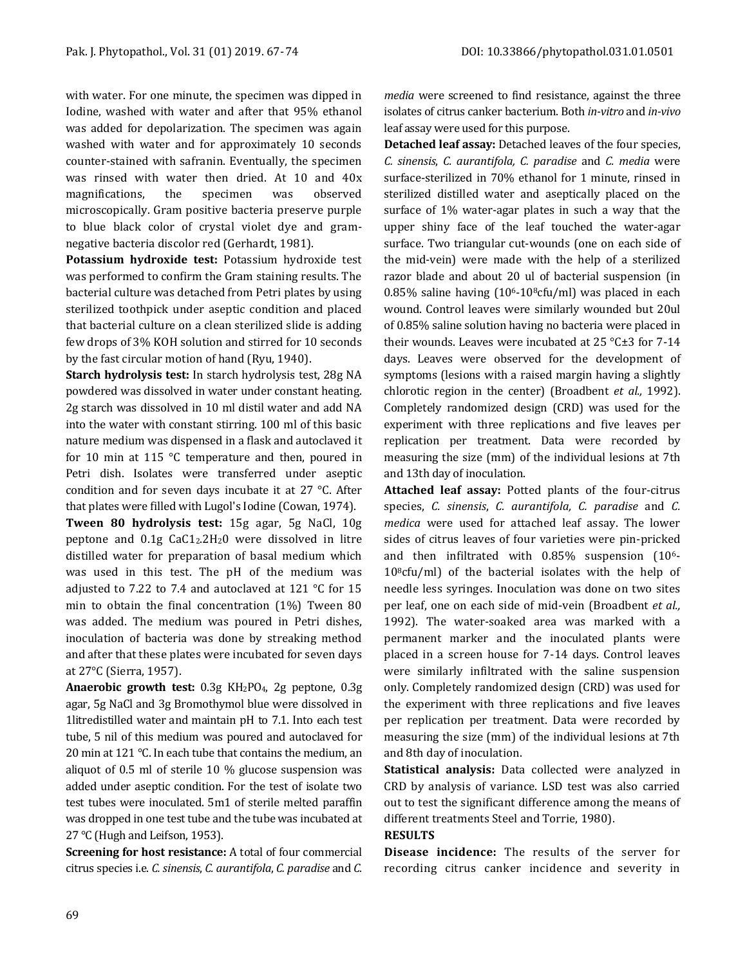with water. For one minute, the specimen was dipped in Iodine, washed with water and after that 95% ethanol was added for depolarization. The specimen was again washed with water and for approximately 10 seconds counter-stained with safranin. Eventually, the specimen was rinsed with water then dried. At 10 and 40x magnifications, the specimen was observed microscopically. Gram positive bacteria preserve purple to blue black color of crystal violet dye and gramnegative bacteria discolor red (Gerhardt, 1981).

**Potassium hydroxide test:** Potassium hydroxide test was performed to confirm the Gram staining results. The bacterial culture was detached from Petri plates by using sterilized toothpick under aseptic condition and placed that bacterial culture on a clean sterilized slide is adding few drops of 3% KOH solution and stirred for 10 seconds by the fast circular motion of hand (Ryu, 1940).

**Starch hydrolysis test:** In starch hydrolysis test, 28g NA powdered was dissolved in water under constant heating. 2g starch was dissolved in 10 ml distil water and add NA into the water with constant stirring. 100 ml of this basic nature medium was dispensed in a flask and autoclaved it for 10 min at 115 °C temperature and then, poured in Petri dish. Isolates were transferred under aseptic condition and for seven days incubate it at 27 °C. After that plates were filled with Lugol's Iodine (Cowan, 1974).

**Tween 80 hydrolysis test:** 15g agar, 5g NaCl, 10g peptone and 0.1g CaC12.2H20 were dissolved in litre distilled water for preparation of basal medium which was used in this test. The pH of the medium was adjusted to 7.22 to 7.4 and autoclaved at 121 °C for 15 min to obtain the final concentration (1%) Tween 80 was added. The medium was poured in Petri dishes, inoculation of bacteria was done by streaking method and after that these plates were incubated for seven days at 27°C (Sierra, 1957).

**Anaerobic growth test:** 0.3g KH2PO4, 2g peptone, 0.3g agar, 5g NaCl and 3g Bromothymol blue were dissolved in 1litredistilled water and maintain pH to 7.1. Into each test tube, 5 nil of this medium was poured and autoclaved for 20 min at 121 °C. In each tube that contains the medium, an aliquot of 0.5 ml of sterile 10 % glucose suspension was added under aseptic condition. For the test of isolate two test tubes were inoculated. 5m1 of sterile melted paraffin was dropped in one test tube and the tube was incubated at 27 °C (Hugh and Leifson, 1953).

**Screening for host resistance:** A total of four commercial citrus species i.e. *C. sinensis*, *C. aurantifola*, *C. paradise* and *C.*  *media* were screened to find resistance, against the three isolates of citrus canker bacterium. Both *in-vitro* and *in-vivo* leaf assay were used for this purpose.

**Detached leaf assay:** Detached leaves of the four species, *C. sinensis*, *C. aurantifola, C. paradise* and *C. media* were surface-sterilized in 70% ethanol for 1 minute, rinsed in sterilized distilled water and aseptically placed on the surface of 1% water-agar plates in such a way that the upper shiny face of the leaf touched the water-agar surface. Two triangular cut-wounds (one on each side of the mid-vein) were made with the help of a sterilized razor blade and about 20 ul of bacterial suspension (in 0.85% saline having  $(10^6-10^8 \text{cftm/ml})$  was placed in each wound. Control leaves were similarly wounded but 20ul of 0.85% saline solution having no bacteria were placed in their wounds. Leaves were incubated at 25 °C±3 for 7-14 days. Leaves were observed for the development of symptoms (lesions with a raised margin having a slightly chlorotic region in the center) (Broadbent *et al.,* 1992). Completely randomized design (CRD) was used for the experiment with three replications and five leaves per replication per treatment. Data were recorded by measuring the size (mm) of the individual lesions at 7th and 13th day of inoculation.

**Attached leaf assay:** Potted plants of the four-citrus species, *C. sinensis*, *C. aurantifola, C. paradise* and *C. medica* were used for attached leaf assay. The lower sides of citrus leaves of four varieties were pin-pricked and then infiltrated with 0.85% suspension (106-  $10<sup>8</sup>c$ fu/ml) of the bacterial isolates with the help of needle less syringes. Inoculation was done on two sites per leaf, one on each side of mid-vein (Broadbent *et al.,* 1992). The water-soaked area was marked with a permanent marker and the inoculated plants were placed in a screen house for 7-14 days. Control leaves were similarly infiltrated with the saline suspension only. Completely randomized design (CRD) was used for the experiment with three replications and five leaves per replication per treatment. Data were recorded by measuring the size (mm) of the individual lesions at 7th and 8th day of inoculation.

**Statistical analysis:** Data collected were analyzed in CRD by analysis of variance. LSD test was also carried out to test the significant difference among the means of different treatments Steel and Torrie, 1980).

### **RESULTS**

**Disease incidence:** The results of the server for recording citrus canker incidence and severity in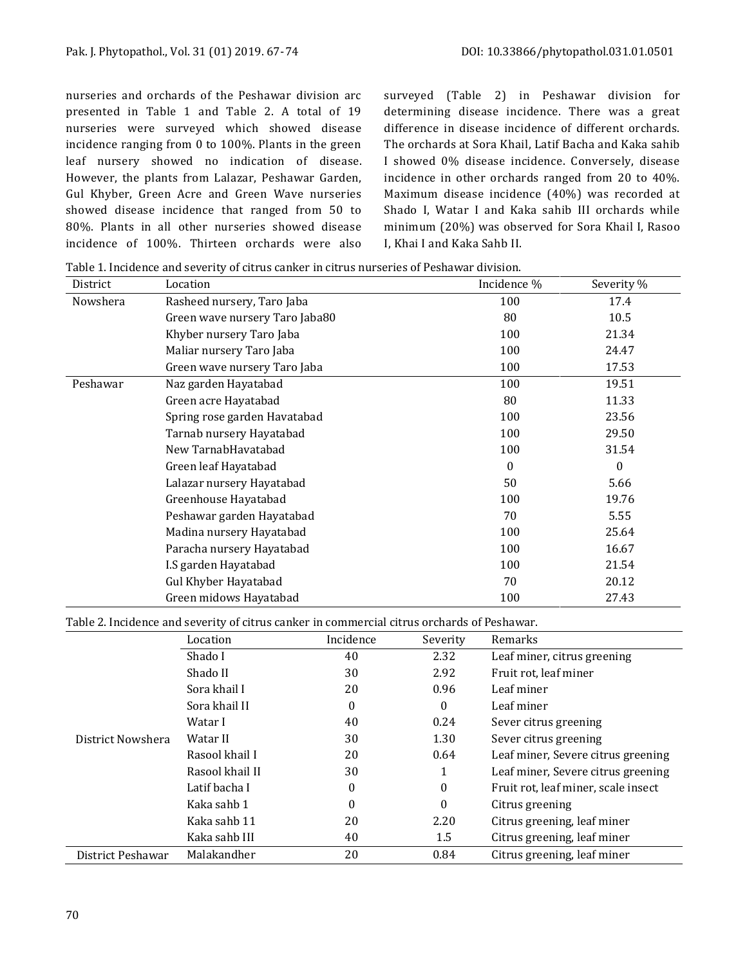nurseries and orchards of the Peshawar division arc presented in Table 1 and Table 2. A total of 19 nurseries were surveyed which showed disease incidence ranging from 0 to 100%. Plants in the green leaf nursery showed no indication of disease. However, the plants from Lalazar, Peshawar Garden, Gul Khyber, Green Acre and Green Wave nurseries showed disease incidence that ranged from 50 to 80%. Plants in all other nurseries showed disease incidence of 100%. Thirteen orchards were also surveyed (Table 2) in Peshawar division for determining disease incidence. There was a great difference in disease incidence of different orchards. The orchards at Sora Khail, Latif Bacha and Kaka sahib I showed 0% disease incidence. Conversely, disease incidence in other orchards ranged from 20 to 40%. Maximum disease incidence (40%) was recorded at Shado I, Watar I and Kaka sahib III orchards while minimum (20%) was observed for Sora Khail I, Rasoo I, Khai I and Kaka Sahb II.

| District | Location                       | Incidence %  | Severity % |
|----------|--------------------------------|--------------|------------|
| Nowshera | Rasheed nursery, Taro Jaba     | 100          | 17.4       |
|          | Green wave nursery Taro Jaba80 | 80           | 10.5       |
|          | Khyber nursery Taro Jaba       | 100          | 21.34      |
|          | Maliar nursery Taro Jaba       | 100          | 24.47      |
|          | Green wave nursery Taro Jaba   | 100          | 17.53      |
| Peshawar | Naz garden Hayatabad           | 100          | 19.51      |
|          | Green acre Hayatabad           | 80           | 11.33      |
|          | Spring rose garden Havatabad   | 100          | 23.56      |
|          | Tarnab nursery Hayatabad       | 100          | 29.50      |
|          | New TarnabHavatabad            | 100          | 31.54      |
|          | Green leaf Hayatabad           | $\mathbf{0}$ | $\bf{0}$   |
|          | Lalazar nursery Hayatabad      | 50           | 5.66       |
|          | Greenhouse Hayatabad           | 100          | 19.76      |
|          | Peshawar garden Hayatabad      | 70           | 5.55       |
|          | Madina nursery Hayatabad       | 100          | 25.64      |
|          | Paracha nursery Hayatabad      | 100          | 16.67      |
|          | I.S garden Hayatabad           | 100          | 21.54      |
|          | <b>Gul Khyber Hayatabad</b>    | 70           | 20.12      |
|          | Green midows Hayatabad         | 100          | 27.43      |

Table 1. Incidence and severity of citrus canker in citrus nurseries of Peshawar division.

Table 2. Incidence and severity of citrus canker in commercial citrus orchards of Peshawar.

|                   | Location        | Incidence         | Severity | Remarks                             |
|-------------------|-----------------|-------------------|----------|-------------------------------------|
|                   | Shado I         | 40                | 2.32     | Leaf miner, citrus greening         |
|                   | Shado II        | 30                | 2.92     | Fruit rot, leaf miner               |
|                   | Sora khail I    | 20                | 0.96     | Leaf miner                          |
|                   | Sora khail II   | $\boldsymbol{0}$  | $\theta$ | Leaf miner                          |
|                   | Watar I         | 40                | 0.24     | Sever citrus greening               |
| District Nowshera | Watar II        | 30                | 1.30     | Sever citrus greening               |
|                   | Rasool khail I  | 20                | 0.64     | Leaf miner, Severe citrus greening  |
|                   | Rasool khail II | 30                | 1        | Leaf miner, Severe citrus greening  |
|                   | Latif bacha I   | 0<br>$\mathbf{0}$ |          | Fruit rot, leaf miner, scale insect |
|                   | Kaka sahh 1     | $\boldsymbol{0}$  | $\Omega$ | Citrus greening                     |
|                   | Kaka sahb 11    | 20                | 2.20     | Citrus greening, leaf miner         |
|                   | Kaka sahb III   | 40                | 1.5      | Citrus greening, leaf miner         |
| District Peshawar | Malakandher     | 20                | 0.84     | Citrus greening, leaf miner         |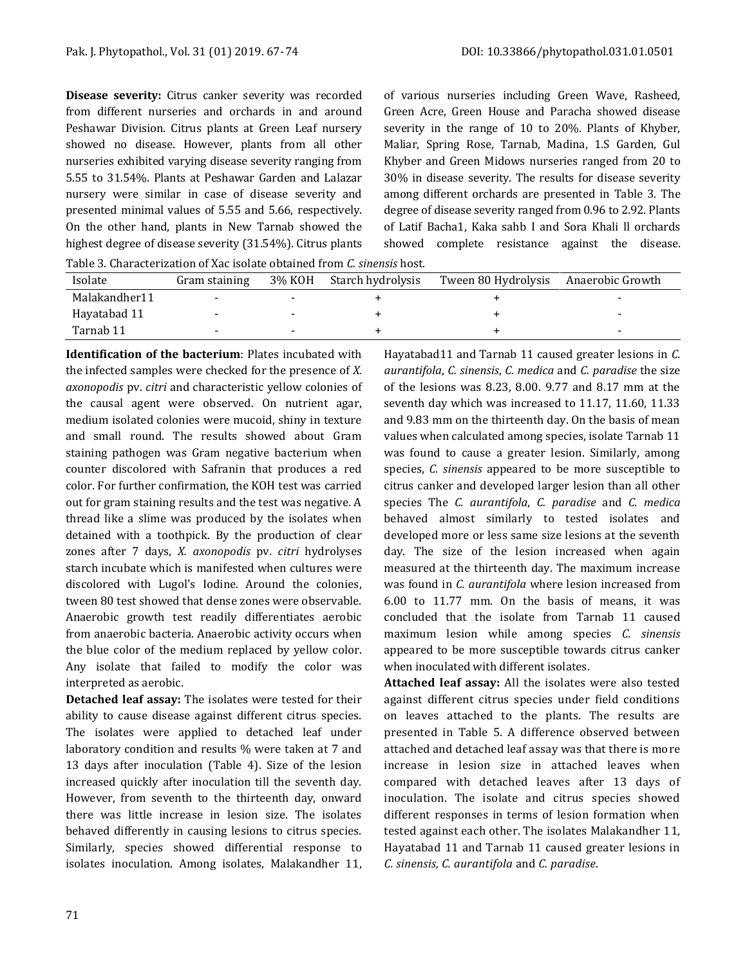**Disease severity:** Citrus canker severity was recorded from different nurseries and orchards in and around Peshawar Division. Citrus plants at Green Leaf nursery showed no disease. However, plants from all other nurseries exhibited varying disease severity ranging from 5.55 to 31.54%. Plants at Peshawar Garden and Lalazar nursery were similar in case of disease severity and presented minimal values of 5.55 and 5.66, respectively. On the other hand, plants in New Tarnab showed the highest degree of disease severity (31.54%). Citrus plants of various nurseries including Green Wave, Rasheed, Green Acre, Green House and Paracha showed disease severity in the range of 10 to 20%. Plants of Khyber, Maliar, Spring Rose, Tarnab, Madina, 1.S Garden, Gul Khyber and Green Midows nurseries ranged from 20 to 30% in disease severity. The results for disease severity among different orchards are presented in Table 3. The degree of disease severity ranged from 0.96 to 2.92. Plants of Latif Bacha1, Kaka sahb I and Sora Khali ll orchards showed complete resistance against the disease.

Table 3. Characterization of Xac isolate obtained from *C. sinensis* host.

| Isolate       | Gram staining            | 3% KOH | Starch hydrolysis | Tween 80 Hydrolysis | Anaerobic Growth |
|---------------|--------------------------|--------|-------------------|---------------------|------------------|
| Malakandher11 | $\overline{\phantom{0}}$ |        |                   |                     |                  |
| Havatabad 11  | $\overline{\phantom{0}}$ | $\sim$ |                   |                     | -                |
| Tarnab 11     | $\sim$                   | $\sim$ |                   |                     | -                |

**Identification of the bacterium**: Plates incubated with the infected samples were checked for the presence of *X. axonopodis* pv. *citri* and characteristic yellow colonies of the causal agent were observed. On nutrient agar, medium isolated colonies were mucoid, shiny in texture and small round. The results showed about Gram staining pathogen was Gram negative bacterium when counter discolored with Safranin that produces a red color. For further confirmation, the KOH test was carried out for gram staining results and the test was negative. A thread like a slime was produced by the isolates when detained with a toothpick. By the production of clear zones after 7 days, *X. axonopodis* pv. *citri* hydrolyses starch incubate which is manifested when cultures were discolored with Lugol's Iodine. Around the colonies, tween 80 test showed that dense zones were observable. Anaerobic growth test readily differentiates aerobic from anaerobic bacteria. Anaerobic activity occurs when the blue color of the medium replaced by yellow color. Any isolate that failed to modify the color was interpreted as aerobic.

**Detached leaf assay:** The isolates were tested for their ability to cause disease against different citrus species. The isolates were applied to detached leaf under laboratory condition and results % were taken at 7 and 13 days after inoculation (Table 4). Size of the lesion increased quickly after inoculation till the seventh day. However, from seventh to the thirteenth day, onward there was little increase in lesion size. The isolates behaved differently in causing lesions to citrus species. Similarly, species showed differential response to isolates inoculation. Among isolates, Malakandher 11,

Hayatabad11 and Tarnab 11 caused greater lesions in *C. aurantifola*, *C. sinensis*, *C. medica* and *C. paradise* the size of the lesions was 8.23, 8.00. 9.77 and 8.17 mm at the seventh day which was increased to 11.17, 11.60, 11.33 and 9.83 mm on the thirteenth day. On the basis of mean values when calculated among species, isolate Tarnab 11 was found to cause a greater lesion. Similarly, among species, *C. sinensis* appeared to be more susceptible to citrus canker and developed larger lesion than all other species The *C. aurantifola*, *C. paradise* and *C. medica* behaved almost similarly to tested isolates and developed more or less same size lesions at the seventh day. The size of the lesion increased when again measured at the thirteenth day. The maximum increase was found in *C. aurantifola* where lesion increased from 6.00 to 11.77 mm. On the basis of means, it was concluded that the isolate from Tarnab 11 caused maximum lesion while among species *C. sinensis* appeared to be more susceptible towards citrus canker when inoculated with different isolates.

**Attached leaf assay:** All the isolates were also tested against different citrus species under field conditions on leaves attached to the plants. The results are presented in Table 5. A difference observed between attached and detached leaf assay was that there is more increase in lesion size in attached leaves when compared with detached leaves after 13 days of inoculation. The isolate and citrus species showed different responses in terms of lesion formation when tested against each other. The isolates Malakandher 11, Hayatabad 11 and Tarnab 11 caused greater lesions in *C. sinensis, C. aurantifola* and *C. paradise*.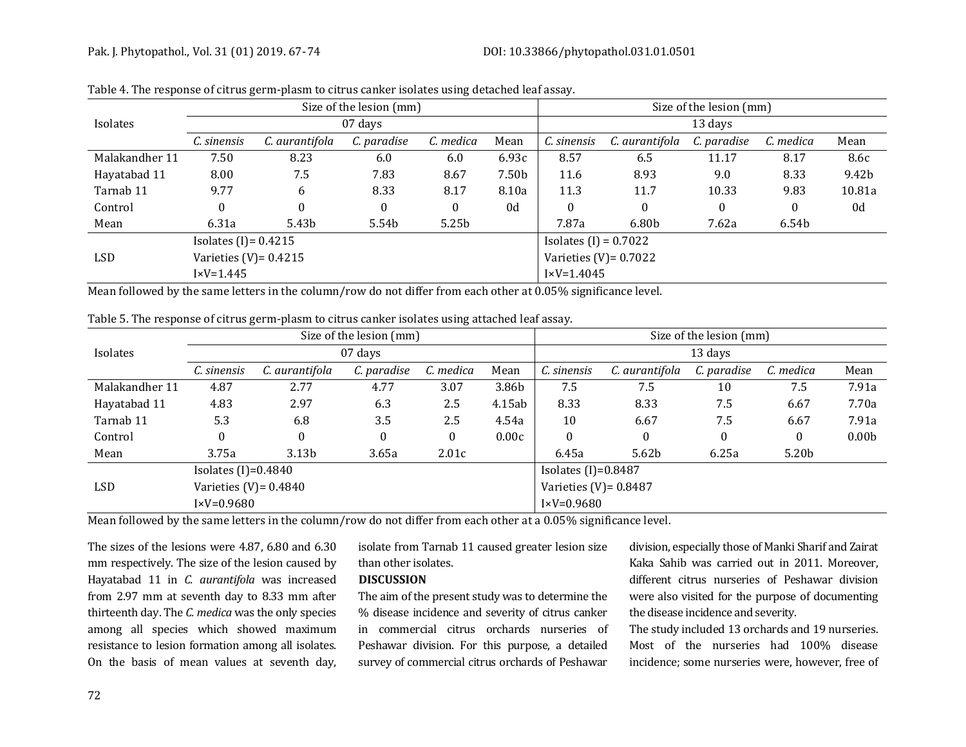#### Pak. J. Phytopathol., Vol. 31 (01) 2019. 67-74 [DOI: 10.33866/phytopathol.031.01.0501](http://dx.doi.org/10.33866/phytopathol.031.01.0501)

|                | Size of the lesion (mm) |                |              |                         | Size of the lesion (mm) |                          |                |             |           |        |
|----------------|-------------------------|----------------|--------------|-------------------------|-------------------------|--------------------------|----------------|-------------|-----------|--------|
| Isolates       | 07 days                 |                |              |                         |                         | 13 days                  |                |             |           |        |
|                | C. sinensis             | C. aurantifola | C. paradise  | C. medica               | Mean                    | C. sinensis              | C. aurantifola | C. paradise | C. medica | Mean   |
| Malakandher 11 | 7.50                    | 8.23           | 6.0          | 6.0                     | 6.93c                   | 8.57                     | 6.5            | 11.17       | 8.17      | 8.6c   |
| Hayatabad 11   | 8.00                    | 7.5            | 7.83         | 8.67                    | 7.50b                   | 11.6                     | 8.93           | 9.0         | 8.33      | 9.42b  |
| Tarnab 11      | 9.77                    | 6              | 8.33         | 8.17                    | 8.10a                   | 11.3                     | 11.7           | 10.33       | 9.83      | 10.81a |
| Control        | $\theta$                | $\Omega$       | $\mathbf{0}$ | $\boldsymbol{0}$        | 0d                      | $\theta$                 | $\mathbf{0}$   | $\Omega$    | $\bf{0}$  | 0d     |
| Mean           | 6.31a                   | 5.43b          | 5.54b        | 5.25b                   |                         | 7.87a                    | 6.80b          | 7.62a       | 6.54b     |        |
|                | Isolates $(I) = 0.4215$ |                |              | Isolates $(I) = 0.7022$ |                         |                          |                |             |           |        |
| <b>LSD</b>     | Varieties (V)= $0.4215$ |                |              |                         |                         | Varieties $(V) = 0.7022$ |                |             |           |        |
|                | $I \times V = 1.445$    |                |              |                         | $I \times V = 1.4045$   |                          |                |             |           |        |

| Table 4. The response of citrus germ-plasm to citrus canker isolates using detached leaf assay. |  |  |  |  |  |
|-------------------------------------------------------------------------------------------------|--|--|--|--|--|
|-------------------------------------------------------------------------------------------------|--|--|--|--|--|

Mean followed by the same letters in the column/row do not differ from each other at 0.05% significance level.

Table 5. The response of citrus germ-plasm to citrus canker isolates using attached leaf assay.

|                | Size of the lesion (mm) |                   |             |              |                       | Size of the lesion (mm)  |                |                  |           |                   |  |
|----------------|-------------------------|-------------------|-------------|--------------|-----------------------|--------------------------|----------------|------------------|-----------|-------------------|--|
| Isolates       | 07 days                 |                   |             |              |                       | 13 days                  |                |                  |           |                   |  |
|                | C. sinensis             | C. aurantifola    | C. paradise | C. medica    | Mean                  | C. sinensis              | C. aurantifola | C. paradise      | C. medica | Mean              |  |
| Malakandher 11 | 4.87                    | 2.77              | 4.77        | 3.07         | 3.86b                 | 7.5                      | 7.5            | 10               | 7.5       | 7.91a             |  |
| Hayatabad 11   | 4.83                    | 2.97              | 6.3         | 2.5          | 4.15ab                | 8.33                     | 8.33           | 7.5              | 6.67      | 7.70a             |  |
| Tarnab 11      | 5.3                     | 6.8               | 3.5         | 2.5          | 4.54a                 | 10                       | 6.67           | 7.5              | 6.67      | 7.91a             |  |
| Control        | $\boldsymbol{0}$        | $\Omega$          | 0           | $\mathbf{0}$ | 0.00c                 | $\theta$                 | $\mathbf{0}$   | $\boldsymbol{0}$ | 0         | 0.00 <sub>b</sub> |  |
| Mean           | 3.75a                   | 3.13 <sub>b</sub> | 3.65a       | 2.01c        |                       | 6.45a                    | 5.62b          | 6.25a            | 5.20b     |                   |  |
|                | Isolates $(I)=0.4840$   |                   |             |              | Isolates $(I)=0.8487$ |                          |                |                  |           |                   |  |
| <b>LSD</b>     | Varieties (V)= $0.4840$ |                   |             |              |                       | Varieties (V) = $0.8487$ |                |                  |           |                   |  |
|                | $I \times V = 0.9680$   |                   |             |              |                       | $I \times V = 0.9680$    |                |                  |           |                   |  |

Mean followed by the same letters in the column/row do not differ from each other at a 0.05% significance level.

The sizes of the lesions were 4.87, 6.80 and 6.30 mm respectively. The size of the lesion caused by Hayatabad 11 in *C. aurantifola* was increased from 2.97 mm at seventh day to 8.33 mm after thirteenth day. The *C. medica* was the only species among all species which showed maximum resistance to lesion formation among all isolates. On the basis of mean values at seventh day,

isolate from Tarnab 11 caused greater lesion size than other isolates.

#### **DISCUSSION**

The aim of the present study was to determine the % disease incidence and severity of citrus canker in commercial citrus orchards nurseries of Peshawar division. For this purpose, a detailed survey of commercial citrus orchards of Peshawar

division, especially those of Manki Sharif and Zairat Kaka Sahib was carried out in 2011. Moreover, different citrus nurseries of Peshawar division were also visited for the purpose of documenting the disease incidence and severity.

The study included 13 orchards and 19 nurseries. Most of the nurseries had 100% disease incidence; some nurseries were, however, free of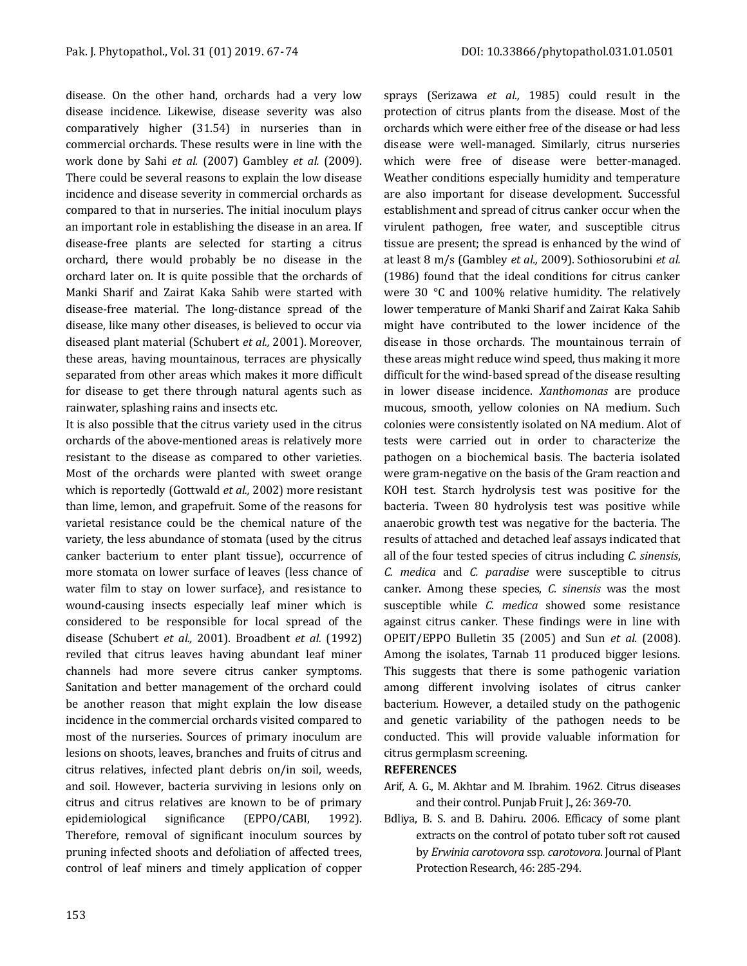disease. On the other hand, orchards had a very low disease incidence. Likewise, disease severity was also comparatively higher (31.54) in nurseries than in commercial orchards. These results were in line with the work done by Sahi *et al.* (2007) Gambley *et al.* (2009). There could be several reasons to explain the low disease incidence and disease severity in commercial orchards as compared to that in nurseries. The initial inoculum plays an important role in establishing the disease in an area. If disease-free plants are selected for starting a citrus orchard, there would probably be no disease in the orchard later on. It is quite possible that the orchards of Manki Sharif and Zairat Kaka Sahib were started with disease-free material. The long-distance spread of the disease, like many other diseases, is believed to occur via diseased plant material (Schubert *et al.,* 2001). Moreover, these areas, having mountainous, terraces are physically separated from other areas which makes it more difficult for disease to get there through natural agents such as rainwater, splashing rains and insects etc.

It is also possible that the citrus variety used in the citrus orchards of the above-mentioned areas is relatively more resistant to the disease as compared to other varieties. Most of the orchards were planted with sweet orange which is reportedly (Gottwald *et al.,* 2002) more resistant than lime, lemon, and grapefruit. Some of the reasons for varietal resistance could be the chemical nature of the variety, the less abundance of stomata (used by the citrus canker bacterium to enter plant tissue), occurrence of more stomata on lower surface of leaves (less chance of water film to stay on lower surface}, and resistance to wound-causing insects especially leaf miner which is considered to be responsible for local spread of the disease (Schubert *et al.,* 2001). Broadbent *et al.* (1992) reviled that citrus leaves having abundant leaf miner channels had more severe citrus canker symptoms. Sanitation and better management of the orchard could be another reason that might explain the low disease incidence in the commercial orchards visited compared to most of the nurseries. Sources of primary inoculum are lesions on shoots, leaves, branches and fruits of citrus and citrus relatives, infected plant debris on/in soil, weeds, and soil. However, bacteria surviving in lesions only on citrus and citrus relatives are known to be of primary epidemiological significance (EPPO/CABI, 1992). Therefore, removal of significant inoculum sources by pruning infected shoots and defoliation of affected trees, control of leaf miners and timely application of copper

sprays (Serizawa *et al.,* 1985) could result in the protection of citrus plants from the disease. Most of the orchards which were either free of the disease or had less disease were well-managed. Similarly, citrus nurseries which were free of disease were better-managed. Weather conditions especially humidity and temperature are also important for disease development. Successful establishment and spread of citrus canker occur when the virulent pathogen, free water, and susceptible citrus tissue are present; the spread is enhanced by the wind of at least 8 m/s (Gambley *et al.,* 2009). Sothiosorubini *et al.* (1986) found that the ideal conditions for citrus canker were 30 °C and 100% relative humidity. The relatively lower temperature of Manki Sharif and Zairat Kaka Sahib might have contributed to the lower incidence of the disease in those orchards. The mountainous terrain of these areas might reduce wind speed, thus making it more difficult for the wind-based spread of the disease resulting in lower disease incidence. *Xanthomonas* are produce mucous, smooth, yellow colonies on NA medium. Such colonies were consistently isolated on NA medium. Alot of tests were carried out in order to characterize the pathogen on a biochemical basis. The bacteria isolated were gram-negative on the basis of the Gram reaction and KOH test. Starch hydrolysis test was positive for the bacteria. Tween 80 hydrolysis test was positive while anaerobic growth test was negative for the bacteria. The results of attached and detached leaf assays indicated that all of the four tested species of citrus including *C. sinensis*, *C. medica* and *C. paradise* were susceptible to citrus canker. Among these species, *C. sinensis* was the most susceptible while *C. medica* showed some resistance against citrus canker. These findings were in line with OPEIT/EPPO Bulletin 35 (2005) and Sun *et al.* (2008). Among the isolates, Tarnab 11 produced bigger lesions. This suggests that there is some pathogenic variation among different involving isolates of citrus canker bacterium. However, a detailed study on the pathogenic and genetic variability of the pathogen needs to be conducted. This will provide valuable information for citrus germplasm screening.

#### **REFERENCES**

- Arif, A. G., M. Akhtar and M. Ibrahim. 1962. Citrus diseases and their control. Punjab Fruit J., 26: 369-70.
- Bdliya, B. S. and B. Dahiru. 2006. Efficacy of some plant extracts on the control of potato tuber soft rot caused by *Erwinia carotovora* ssp*. carotovora*. Journal of Plant Protection Research, 46: 285-294.